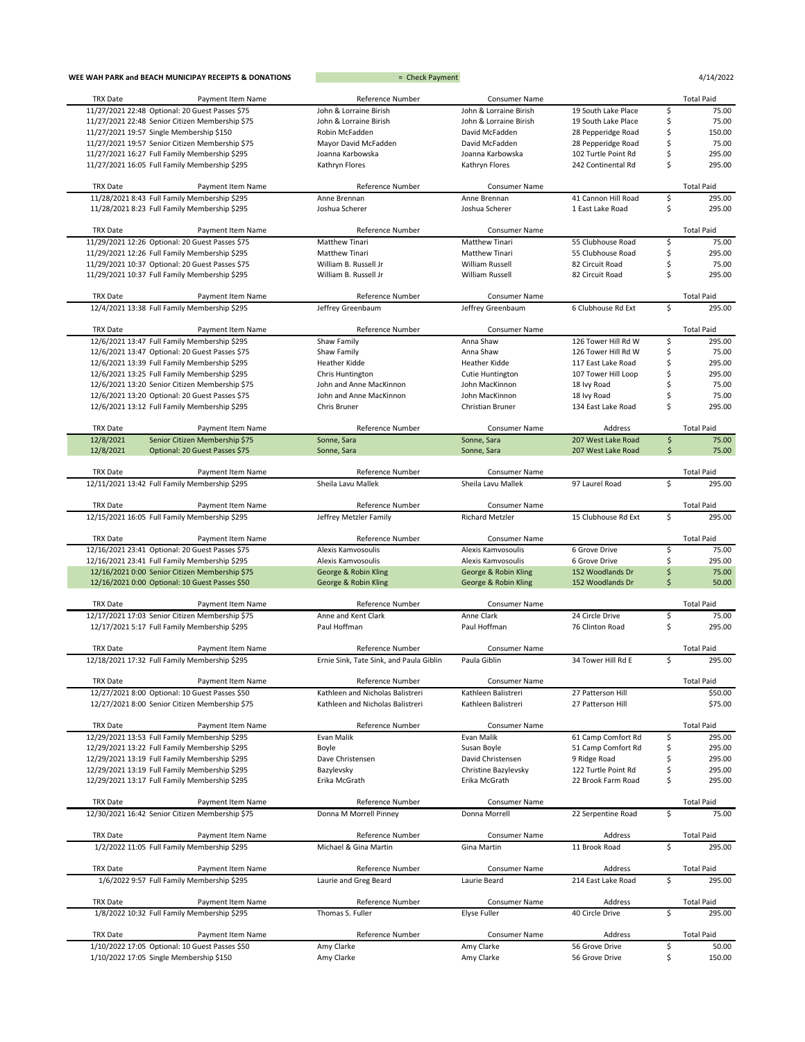| WEE WAH PARK and BEACH MUNICIPAY RECEIPTS & DONATIONS                                  | = Check Payment                         |                               |                            |    | 4/14/2022                   |
|----------------------------------------------------------------------------------------|-----------------------------------------|-------------------------------|----------------------------|----|-----------------------------|
| <b>TRX Date</b><br>Payment Item Name                                                   | Reference Number                        | Consumer Name                 |                            |    | <b>Total Paid</b>           |
| 11/27/2021 22:48 Optional: 20 Guest Passes \$75                                        | John & Lorraine Birish                  | John & Lorraine Birish        | 19 South Lake Place        | \$ | 75.00                       |
| 11/27/2021 22:48 Senior Citizen Membership \$75                                        | John & Lorraine Birish                  | John & Lorraine Birish        | 19 South Lake Place        | \$ | 75.00                       |
| 11/27/2021 19:57 Single Membership \$150                                               | Robin McFadden                          | David McFadden                | 28 Pepperidge Road         | \$ | 150.00                      |
| 11/27/2021 19:57 Senior Citizen Membership \$75                                        | Mayor David McFadden                    | David McFadden                | 28 Pepperidge Road         | \$ | 75.00                       |
| 11/27/2021 16:27 Full Family Membership \$295                                          | Joanna Karbowska                        | Joanna Karbowska              | 102 Turtle Point Rd        | \$ | 295.00                      |
| 11/27/2021 16:05 Full Family Membership \$295                                          | Kathryn Flores                          | Kathryn Flores                | 242 Continental Rd         | \$ | 295.00                      |
| TRX Date<br>Payment Item Name                                                          | Reference Number                        | Consumer Name                 |                            |    | <b>Total Paid</b>           |
| 11/28/2021 8:43 Full Family Membership \$295                                           | Anne Brennan                            | Anne Brennan                  | 41 Cannon Hill Road        | \$ | 295.00                      |
| 11/28/2021 8:23 Full Family Membership \$295                                           | Joshua Scherer                          | Joshua Scherer                | 1 East Lake Road           | \$ | 295.00                      |
| TRX Date<br>Payment Item Name                                                          | Reference Number                        | Consumer Name                 |                            |    | <b>Total Paid</b>           |
| 11/29/2021 12:26 Optional: 20 Guest Passes \$75                                        | Matthew Tinari                          | Matthew Tinari                | 55 Clubhouse Road          | \$ | 75.00                       |
| 11/29/2021 12:26 Full Family Membership \$295                                          | Matthew Tinari                          | Matthew Tinari                | 55 Clubhouse Road          | \$ | 295.00                      |
| 11/29/2021 10:37 Optional: 20 Guest Passes \$75                                        | William B. Russell Jr                   | William Russell               | 82 Circuit Road            | \$ | 75.00                       |
| 11/29/2021 10:37 Full Family Membership \$295                                          | William B. Russell Jr                   | William Russell               | 82 Circuit Road            | \$ | 295.00                      |
| TRX Date<br>Payment Item Name                                                          | Reference Number                        | Consumer Name                 |                            |    | <b>Total Paid</b>           |
| 12/4/2021 13:38 Full Family Membership \$295                                           | Jeffrey Greenbaum                       | Jeffrey Greenbaum             | 6 Clubhouse Rd Ext         | \$ | 295.00                      |
| <b>TRX Date</b><br>Payment Item Name                                                   | Reference Number                        | Consumer Name                 |                            |    | <b>Total Paid</b>           |
| 12/6/2021 13:47 Full Family Membership \$295                                           | Shaw Family                             | Anna Shaw                     | 126 Tower Hill Rd W        | \$ | 295.00                      |
| 12/6/2021 13:47 Optional: 20 Guest Passes \$75                                         | Shaw Family                             | Anna Shaw                     | 126 Tower Hill Rd W        | \$ | 75.00                       |
| 12/6/2021 13:39 Full Family Membership \$295                                           | <b>Heather Kidde</b>                    | Heather Kidde                 | 117 East Lake Road         | \$ | 295.00                      |
| 12/6/2021 13:25 Full Family Membership \$295                                           | Chris Huntington                        | Cutie Huntington              | 107 Tower Hill Loop        | \$ | 295.00                      |
| 12/6/2021 13:20 Senior Citizen Membership \$75                                         | John and Anne MacKinnon                 | John MacKinnon                | 18 Ivy Road                | \$ | 75.00                       |
| 12/6/2021 13:20 Optional: 20 Guest Passes \$75                                         | John and Anne MacKinnon                 | John MacKinnon                | 18 Ivy Road                | \$ | 75.00                       |
| 12/6/2021 13:12 Full Family Membership \$295                                           | Chris Bruner                            | Christian Bruner              | 134 East Lake Road         | Ś  | 295.00                      |
| <b>TRX Date</b><br>Payment Item Name                                                   | Reference Number                        | Consumer Name                 | Address                    |    | <b>Total Paid</b>           |
| 12/8/2021<br>Senior Citizen Membership \$75                                            | Sonne, Sara                             | Sonne, Sara                   | 207 West Lake Road         | \$ | 75.00                       |
| 12/8/2021<br>Optional: 20 Guest Passes \$75                                            | Sonne, Sara                             | Sonne, Sara                   | 207 West Lake Road         | \$ | 75.00                       |
| <b>TRX Date</b><br>Payment Item Name                                                   | Reference Number                        | Consumer Name                 |                            |    | <b>Total Paid</b>           |
| 12/11/2021 13:42 Full Family Membership \$295                                          | Sheila Lavu Mallek                      | Sheila Lavu Mallek            | 97 Laurel Road             | \$ | 295.00                      |
| <b>TRX Date</b><br>Payment Item Name                                                   | Reference Number                        | Consumer Name                 |                            |    | <b>Total Paid</b>           |
| 12/15/2021 16:05 Full Family Membership \$295                                          | Jeffrey Metzler Family                  | <b>Richard Metzler</b>        | 15 Clubhouse Rd Ext        | \$ | 295.00                      |
| <b>TRX Date</b><br>Payment Item Name                                                   | Reference Number                        | Consumer Name                 |                            |    | <b>Total Paid</b>           |
| 12/16/2021 23:41 Optional: 20 Guest Passes \$75                                        | Alexis Kamvosoulis                      | Alexis Kamvosoulis            | 6 Grove Drive              | \$ | 75.00                       |
| 12/16/2021 23:41 Full Family Membership \$295                                          | Alexis Kamvosoulis                      | Alexis Kamvosoulis            | 6 Grove Drive              | \$ | 295.00                      |
| 12/16/2021 0:00 Senior Citizen Membership \$75                                         | George & Robin Kling                    | George & Robin Kling          | 152 Woodlands Dr           | \$ | 75.00                       |
| 12/16/2021 0:00 Optional: 10 Guest Passes \$50                                         | George & Robin Kling                    | George & Robin Kling          | 152 Woodlands Dr           | \$ | 50.00                       |
| <b>TRX Date</b><br>Payment Item Name                                                   | Reference Number                        | Consumer Name                 |                            |    | <b>Total Paid</b>           |
| 12/17/2021 17:03 Senior Citizen Membership \$75                                        | Anne and Kent Clark                     | Anne Clark                    | 24 Circle Drive            | \$ | 75.00                       |
| 12/17/2021 5:17 Full Family Membership \$295                                           | Paul Hoffman                            | Paul Hoffman                  | 76 Clinton Road            | \$ | 295.00                      |
| TRX Date<br>Payment Item Name                                                          | Reference Number                        | Consumer Name                 |                            |    | <b>Total Paid</b>           |
| 12/18/2021 17:32 Full Family Membership \$295                                          | Ernie Sink, Tate Sink, and Paula Giblin | Paula Giblin                  | 34 Tower Hill Rd E         | \$ | 295.00                      |
| TRX Date<br>Payment Item Name                                                          | Reference Number                        | Consumer Name                 |                            |    | <b>Total Paid</b>           |
| 12/27/2021 8:00 Optional: 10 Guest Passes \$50                                         | Kathleen and Nicholas Balistreri        | Kathleen Balistreri           | 27 Patterson Hill          |    | \$50.00                     |
| 12/27/2021 8:00 Senior Citizen Membership \$75                                         | Kathleen and Nicholas Balistreri        | Kathleen Balistreri           | 27 Patterson Hill          |    | \$75.00                     |
| Payment Item Name<br>TRX Date                                                          | Reference Number                        | Consumer Name                 |                            |    | <b>Total Paid</b>           |
| 12/29/2021 13:53 Full Family Membership \$295                                          | Evan Malik                              | Evan Malik                    | 61 Camp Comfort Rd         | \$ | 295.00                      |
| 12/29/2021 13:22 Full Family Membership \$295                                          | Boyle                                   | Susan Boyle                   | 51 Camp Comfort Rd         | \$ | 295.00                      |
| 12/29/2021 13:19 Full Family Membership \$295                                          | Dave Christensen                        | David Christensen             | 9 Ridge Road               | \$ | 295.00                      |
| 12/29/2021 13:19 Full Family Membership \$295                                          | Bazylevsky                              | Christine Bazylevsky          | 122 Turtle Point Rd        | \$ | 295.00                      |
| 12/29/2021 13:17 Full Family Membership \$295                                          | Erika McGrath                           | Erika McGrath                 | 22 Brook Farm Road         | \$ | 295.00                      |
| TRX Date<br>Payment Item Name                                                          | Reference Number                        | <b>Consumer Name</b>          |                            |    | <b>Total Paid</b>           |
| 12/30/2021 16:42 Senior Citizen Membership \$75                                        | Donna M Morrell Pinney                  | Donna Morrell                 | 22 Serpentine Road         | \$ | 75.00                       |
| TRX Date<br>Payment Item Name                                                          | Reference Number                        | Consumer Name                 | Address                    |    | <b>Total Paid</b>           |
| 1/2/2022 11:05 Full Family Membership \$295                                            | Michael & Gina Martin                   | Gina Martin                   | 11 Brook Road              | \$ | 295.00                      |
| TRX Date<br>Payment Item Name                                                          | Reference Number                        | Consumer Name                 | Address                    |    | <b>Total Paid</b>           |
| 1/6/2022 9:57 Full Family Membership \$295                                             | Laurie and Greg Beard                   | Laurie Beard                  | 214 East Lake Road         | \$ | 295.00                      |
|                                                                                        |                                         |                               |                            |    |                             |
| TRX Date<br>Payment Item Name<br>1/8/2022 10:32 Full Family Membership \$295           | Reference Number<br>Thomas S. Fuller    | Consumer Name<br>Elyse Fuller | Address<br>40 Circle Drive | \$ | <b>Total Paid</b><br>295.00 |
|                                                                                        |                                         |                               |                            |    |                             |
| <b>TRX Date</b><br>Payment Item Name<br>1/10/2022 17:05 Optional: 10 Guest Passes \$50 | Reference Number<br>Amy Clarke          | Consumer Name<br>Amy Clarke   | Address<br>56 Grove Drive  | \$ | <b>Total Paid</b><br>50.00  |
| 1/10/2022 17:05 Single Membership \$150                                                | Amy Clarke                              | Amy Clarke                    | 56 Grove Drive             | \$ | 150.00                      |
|                                                                                        |                                         |                               |                            |    |                             |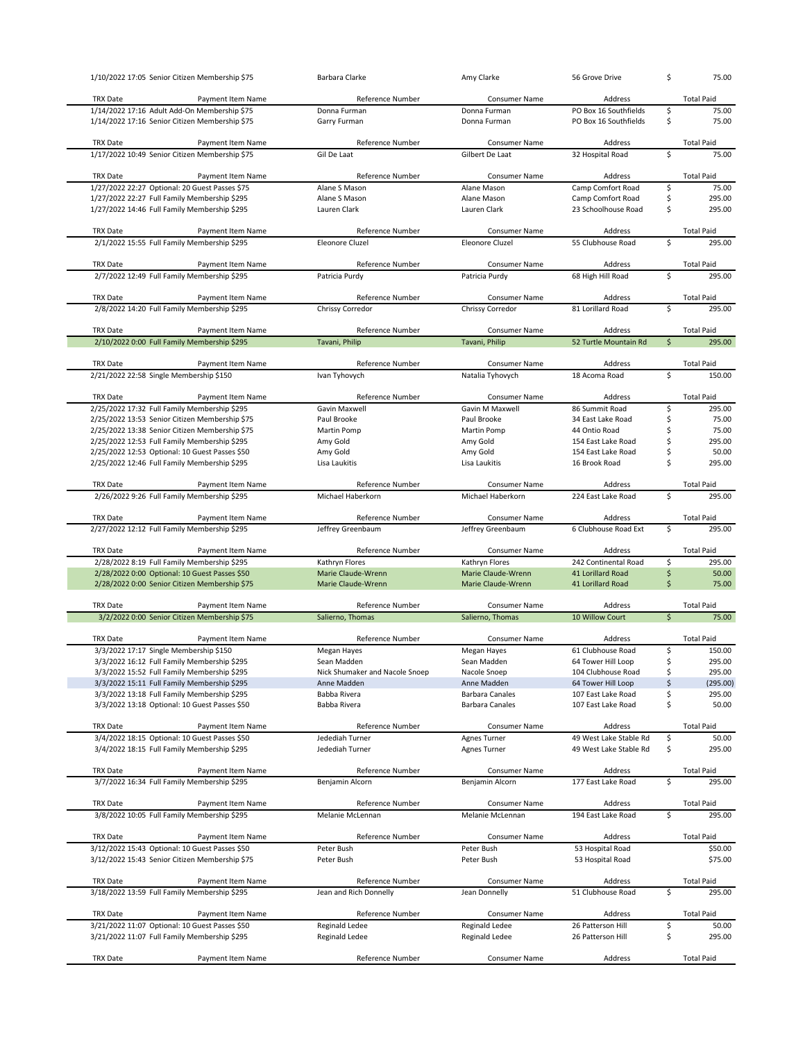| 1/10/2022 17:05 Senior Citizen Membership \$75                                         | Barbara Clarke                    | Amy Clarke                   | 56 Grove Drive                      | \$                 | 75.00                      |
|----------------------------------------------------------------------------------------|-----------------------------------|------------------------------|-------------------------------------|--------------------|----------------------------|
| <b>TRX Date</b>                                                                        | Reference Number                  | <b>Consumer Name</b>         | Address                             |                    | <b>Total Paid</b>          |
| Payment Item Name<br>1/14/2022 17:16 Adult Add-On Membership \$75                      | Donna Furman                      | Donna Furman                 | PO Box 16 Southfields               | \$                 | 75.00                      |
| 1/14/2022 17:16 Senior Citizen Membership \$75                                         | Garry Furman                      | Donna Furman                 | PO Box 16 Southfields               | \$                 | 75.00                      |
|                                                                                        |                                   |                              |                                     |                    |                            |
| <b>TRX Date</b><br>Payment Item Name                                                   | Reference Number                  | Consumer Name                | Address                             |                    | <b>Total Paid</b>          |
| 1/17/2022 10:49 Senior Citizen Membership \$75                                         | Gil De Laat                       | Gilbert De Laat              | 32 Hospital Road                    | \$                 | 75.00                      |
|                                                                                        |                                   |                              |                                     |                    |                            |
| <b>TRX Date</b><br>Payment Item Name<br>1/27/2022 22:27 Optional: 20 Guest Passes \$75 | Reference Number<br>Alane S Mason | Consumer Name<br>Alane Mason | Address<br>Camp Comfort Road        | \$                 | <b>Total Paid</b><br>75.00 |
| 1/27/2022 22:27 Full Family Membership \$295                                           | Alane S Mason                     | Alane Mason                  | Camp Comfort Road                   | \$                 | 295.00                     |
| 1/27/2022 14:46 Full Family Membership \$295                                           | Lauren Clark                      | Lauren Clark                 | 23 Schoolhouse Road                 | \$                 | 295.00                     |
|                                                                                        |                                   |                              |                                     |                    |                            |
| <b>TRX Date</b><br>Payment Item Name                                                   | <b>Reference Number</b>           | Consumer Name                | Address                             |                    | <b>Total Paid</b>          |
| 2/1/2022 15:55 Full Family Membership \$295                                            | Eleonore Cluzel                   | <b>Eleonore Cluzel</b>       | 55 Clubhouse Road                   | \$                 | 295.00                     |
|                                                                                        |                                   |                              |                                     |                    |                            |
| <b>TRX Date</b><br>Payment Item Name                                                   | Reference Number                  | Consumer Name                | Address                             |                    | <b>Total Paid</b>          |
| 2/7/2022 12:49 Full Family Membership \$295                                            | Patricia Purdy                    | Patricia Purdy               | 68 High Hill Road                   | \$                 | 295.00                     |
| <b>TRX Date</b><br>Payment Item Name                                                   | Reference Number                  | <b>Consumer Name</b>         | Address                             |                    | <b>Total Paid</b>          |
| 2/8/2022 14:20 Full Family Membership \$295                                            | Chrissy Corredor                  | Chrissy Corredor             | 81 Lorillard Road                   | \$                 | 295.00                     |
|                                                                                        |                                   |                              |                                     |                    |                            |
| <b>TRX Date</b><br>Payment Item Name                                                   | Reference Number                  | Consumer Name                | Address                             |                    | <b>Total Paid</b>          |
| 2/10/2022 0:00 Full Family Membership \$295                                            | Tavani, Philip                    | Tavani, Philip               | 52 Turtle Mountain Rd               | $\mathsf{\dot{S}}$ | 295.00                     |
|                                                                                        |                                   |                              |                                     |                    |                            |
| <b>TRX Date</b><br>Payment Item Name                                                   | Reference Number                  | Consumer Name                | Address                             |                    | <b>Total Paid</b>          |
| 2/21/2022 22:58 Single Membership \$150                                                | Ivan Tyhovych                     | Natalia Tyhovych             | 18 Acoma Road                       | \$                 | 150.00                     |
| TRX Date<br>Payment Item Name                                                          | Reference Number                  | Consumer Name                | Address                             |                    | <b>Total Paid</b>          |
| 2/25/2022 17:32 Full Family Membership \$295                                           | Gavin Maxwell                     | Gavin M Maxwell              | 86 Summit Road                      | \$                 | 295.00                     |
| 2/25/2022 13:53 Senior Citizen Membership \$75                                         | Paul Brooke                       | Paul Brooke                  | 34 East Lake Road                   | \$                 | 75.00                      |
| 2/25/2022 13:38 Senior Citizen Membership \$75                                         | Martin Pomp                       | Martin Pomp                  | 44 Ontio Road                       | \$                 | 75.00                      |
| 2/25/2022 12:53 Full Family Membership \$295                                           | Amy Gold                          | Amy Gold                     | 154 East Lake Road                  | \$                 | 295.00                     |
| 2/25/2022 12:53 Optional: 10 Guest Passes \$50                                         |                                   |                              |                                     |                    |                            |
|                                                                                        | Amy Gold                          | Amy Gold                     | 154 East Lake Road<br>16 Brook Road | \$<br>\$           | 50.00<br>295.00            |
| 2/25/2022 12:46 Full Family Membership \$295                                           | Lisa Laukitis                     | Lisa Laukitis                |                                     |                    |                            |
| <b>TRX Date</b><br>Payment Item Name                                                   | Reference Number                  | <b>Consumer Name</b>         | Address                             |                    | <b>Total Paid</b>          |
| 2/26/2022 9:26 Full Family Membership \$295                                            | Michael Haberkorn                 | Michael Haberkorn            | 224 East Lake Road                  | \$                 | 295.00                     |
|                                                                                        |                                   |                              |                                     |                    |                            |
|                                                                                        |                                   |                              |                                     |                    |                            |
| <b>TRX Date</b><br>Payment Item Name                                                   | Reference Number                  | Consumer Name                | Address                             |                    | <b>Total Paid</b>          |
| 2/27/2022 12:12 Full Family Membership \$295                                           | Jeffrey Greenbaum                 | Jeffrey Greenbaum            | 6 Clubhouse Road Ext                | \$                 | 295.00                     |
|                                                                                        |                                   |                              |                                     |                    |                            |
| <b>TRX Date</b><br>Payment Item Name                                                   | Reference Number                  | Consumer Name                | Address                             |                    | <b>Total Paid</b>          |
| 2/28/2022 8:19 Full Family Membership \$295                                            | Kathryn Flores                    | Kathryn Flores               | 242 Continental Road                | \$                 | 295.00                     |
| 2/28/2022 0:00 Optional: 10 Guest Passes \$50                                          | Marie Claude-Wrenn                | Marie Claude-Wrenn           | 41 Lorillard Road                   | \$                 | 50.00                      |
| 2/28/2022 0:00 Senior Citizen Membership \$75                                          | Marie Claude-Wrenn                | Marie Claude-Wrenn           | 41 Lorillard Road                   | \$                 | 75.00                      |
| <b>TRX Date</b><br>Payment Item Name                                                   | Reference Number                  | Consumer Name                | Address                             |                    | <b>Total Paid</b>          |
| 3/2/2022 0:00 Senior Citizen Membership \$75                                           | Salierno, Thomas                  | Salierno, Thomas             | 10 Willow Court                     | $\mathsf{\dot{S}}$ | 75.00                      |
|                                                                                        |                                   |                              |                                     |                    |                            |
| <b>TRX Date</b><br>Payment Item Name                                                   | Reference Number                  | Consumer Name                | Address                             |                    | <b>Total Paid</b>          |
| 3/3/2022 17:17 Single Membership \$150                                                 | Megan Hayes                       | Megan Hayes                  | 61 Clubhouse Road                   | \$                 | 150.00                     |
| 3/3/2022 16:12 Full Family Membership \$295                                            | Sean Madden                       | Sean Madden                  | 64 Tower Hill Loop                  | \$                 | 295.00                     |
| 3/3/2022 15:52 Full Family Membership \$295                                            | Nick Shumaker and Nacole Snoep    | Nacole Snoep                 | 104 Clubhouse Road                  | \$                 | 295.00                     |
| 3/3/2022 15:11 Full Family Membership \$295                                            | Anne Madden                       | Anne Madden                  | 64 Tower Hill Loop                  | \$                 | (295.00)                   |
| 3/3/2022 13:18 Full Family Membership \$295                                            | Babba Rivera                      | <b>Barbara Canales</b>       | 107 East Lake Road                  | \$                 | 295.00                     |
| 3/3/2022 13:18 Optional: 10 Guest Passes \$50                                          | Babba Rivera                      | <b>Barbara Canales</b>       | 107 East Lake Road                  | \$                 | 50.00                      |
|                                                                                        |                                   |                              |                                     |                    |                            |
| TRX Date<br>Payment Item Name                                                          | Reference Number                  | Consumer Name                | Address                             |                    | <b>Total Paid</b>          |
| 3/4/2022 18:15 Optional: 10 Guest Passes \$50                                          | Jedediah Turner                   | Agnes Turner                 | 49 West Lake Stable Rd              | \$                 | 50.00                      |
| 3/4/2022 18:15 Full Family Membership \$295                                            | Jedediah Turner                   | <b>Agnes Turner</b>          | 49 West Lake Stable Rd              | \$                 | 295.00                     |
| <b>TRX Date</b><br>Payment Item Name                                                   | Reference Number                  | Consumer Name                | Address                             |                    | <b>Total Paid</b>          |
| 3/7/2022 16:34 Full Family Membership \$295                                            | Benjamin Alcorn                   | Benjamin Alcorn              | 177 East Lake Road                  | \$                 | 295.00                     |
|                                                                                        |                                   |                              |                                     |                    |                            |
| <b>TRX Date</b><br>Payment Item Name                                                   | Reference Number                  | Consumer Name                | Address                             |                    | <b>Total Paid</b>          |
| 3/8/2022 10:05 Full Family Membership \$295                                            | Melanie McLennan                  | Melanie McLennan             | 194 East Lake Road                  | \$                 | 295.00                     |
|                                                                                        |                                   |                              |                                     |                    |                            |
| <b>TRX Date</b><br>Payment Item Name                                                   | Reference Number                  | Consumer Name                | Address                             |                    | <b>Total Paid</b>          |
| 3/12/2022 15:43 Optional: 10 Guest Passes \$50                                         | Peter Bush                        | Peter Bush                   | 53 Hospital Road                    |                    | \$50.00                    |
| 3/12/2022 15:43 Senior Citizen Membership \$75                                         | Peter Bush                        | Peter Bush                   | 53 Hospital Road                    |                    | \$75.00                    |
| <b>TRX Date</b><br>Payment Item Name                                                   | Reference Number                  | Consumer Name                | Address                             |                    | <b>Total Paid</b>          |
| 3/18/2022 13:59 Full Family Membership \$295                                           | Jean and Rich Donnelly            | Jean Donnelly                | 51 Clubhouse Road                   | \$                 | 295.00                     |
|                                                                                        |                                   |                              |                                     |                    |                            |
| TRX Date<br>Payment Item Name                                                          | Reference Number                  | Consumer Name                | Address                             |                    | <b>Total Paid</b>          |
| 3/21/2022 11:07 Optional: 10 Guest Passes \$50                                         | <b>Reginald Ledee</b>             | Reginald Ledee               | 26 Patterson Hill                   | \$                 | 50.00                      |
| 3/21/2022 11:07 Full Family Membership \$295                                           | Reginald Ledee                    | Reginald Ledee               | 26 Patterson Hill                   | \$                 | 295.00                     |
| Payment Item Name<br>TRX Date                                                          | Reference Number                  | Consumer Name                | Address                             |                    | <b>Total Paid</b>          |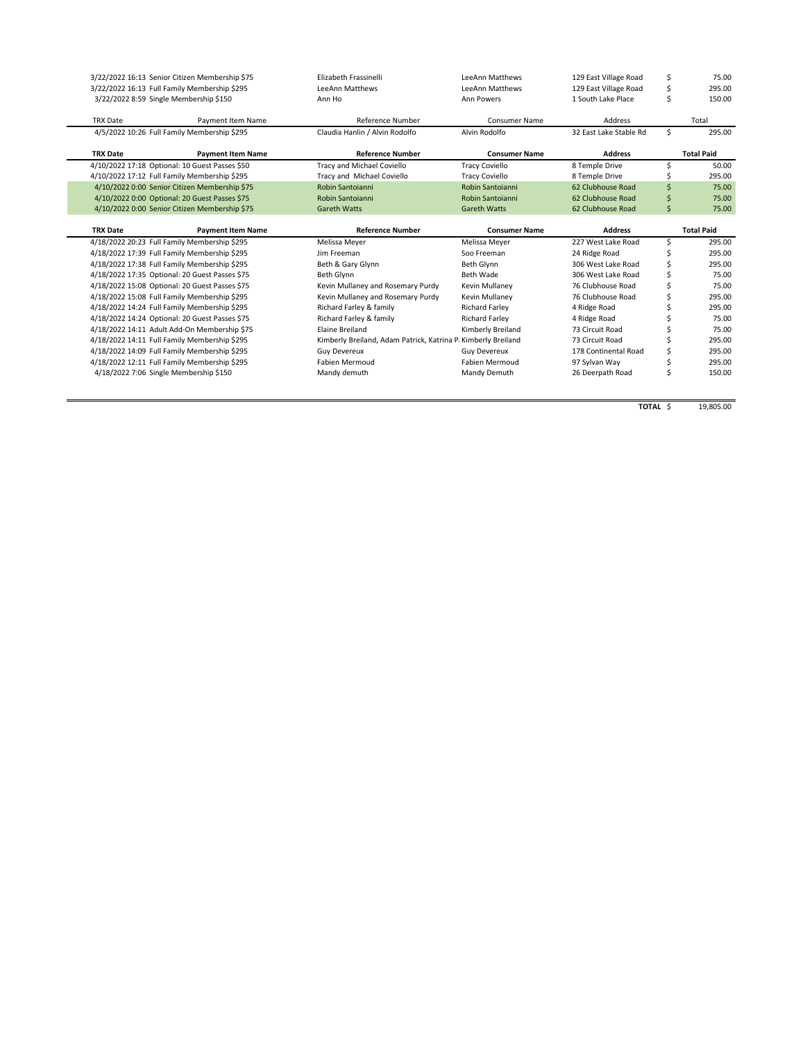|                                        | 3/22/2022 16:13 Senior Citizen Membership \$75 | Elizabeth Frassinelli                                         | LeeAnn Matthews       | 129 East Village Road  | \$  | 75.00             |
|----------------------------------------|------------------------------------------------|---------------------------------------------------------------|-----------------------|------------------------|-----|-------------------|
|                                        | 3/22/2022 16:13 Full Family Membership \$295   | <b>LeeAnn Matthews</b>                                        | LeeAnn Matthews       | 129 East Village Road  | \$  | 295.00            |
| 3/22/2022 8:59 Single Membership \$150 |                                                | Ann Ho                                                        | Ann Powers            | 1 South Lake Place     | Ś   | 150.00            |
| <b>TRX Date</b>                        | Payment Item Name                              | Reference Number                                              | <b>Consumer Name</b>  | Address                |     | Total             |
|                                        | 4/5/2022 10:26 Full Family Membership \$295    | Claudia Hanlin / Alvin Rodolfo                                | Alvin Rodolfo         | 32 East Lake Stable Rd | \$  | 295.00            |
| <b>TRX Date</b>                        | <b>Payment Item Name</b>                       | <b>Reference Number</b>                                       | <b>Consumer Name</b>  | <b>Address</b>         |     | <b>Total Paid</b> |
|                                        | 4/10/2022 17:18 Optional: 10 Guest Passes \$50 | <b>Tracy and Michael Coviello</b>                             | <b>Tracy Coviello</b> | 8 Temple Drive         | Ś   | 50.00             |
|                                        | 4/10/2022 17:12 Full Family Membership \$295   | Tracy and Michael Coviello                                    | <b>Tracy Coviello</b> | 8 Temple Drive         |     | 295.00            |
|                                        | 4/10/2022 0:00 Senior Citizen Membership \$75  | Robin Santoianni                                              | Robin Santoianni      | 62 Clubhouse Road      | \$. | 75.00             |
|                                        | 4/10/2022 0:00 Optional: 20 Guest Passes \$75  | Robin Santoianni                                              | Robin Santoianni      | 62 Clubhouse Road      |     | 75.00             |
|                                        | 4/10/2022 0:00 Senior Citizen Membership \$75  | <b>Gareth Watts</b>                                           | <b>Gareth Watts</b>   | 62 Clubhouse Road      | Ś   | 75.00             |
|                                        |                                                |                                                               |                       |                        |     |                   |
| <b>TRX Date</b>                        | <b>Payment Item Name</b>                       | <b>Reference Number</b>                                       | <b>Consumer Name</b>  | <b>Address</b>         |     | <b>Total Paid</b> |
|                                        | 4/18/2022 20:23 Full Family Membership \$295   | Melissa Meyer                                                 | Melissa Meyer         | 227 West Lake Road     | Ś   | 295.00            |
|                                        | 4/18/2022 17:39 Full Family Membership \$295   | Jim Freeman                                                   | Soo Freeman           | 24 Ridge Road          |     | 295.00            |
|                                        | 4/18/2022 17:38 Full Family Membership \$295   | Beth & Gary Glynn                                             | Beth Glynn            | 306 West Lake Road     |     | 295.00            |
|                                        | 4/18/2022 17:35 Optional: 20 Guest Passes \$75 | Beth Glynn                                                    | Beth Wade             | 306 West Lake Road     |     | 75.00             |
|                                        | 4/18/2022 15:08 Optional: 20 Guest Passes \$75 | Kevin Mullaney and Rosemary Purdy                             | Kevin Mullaney        | 76 Clubhouse Road      |     | 75.00             |
|                                        | 4/18/2022 15:08 Full Family Membership \$295   | Kevin Mullaney and Rosemary Purdy                             | Kevin Mullanev        | 76 Clubhouse Road      |     | 295.00            |
|                                        |                                                |                                                               |                       |                        |     | 295.00            |
|                                        | 4/18/2022 14:24 Full Family Membership \$295   | Richard Farley & family                                       | <b>Richard Farley</b> | 4 Ridge Road           |     |                   |
|                                        | 4/18/2022 14:24 Optional: 20 Guest Passes \$75 | Richard Farley & family                                       | <b>Richard Farley</b> | 4 Ridge Road           |     | 75.00             |
|                                        | 4/18/2022 14:11 Adult Add-On Membership \$75   | Elaine Breiland                                               | Kimberly Breiland     | 73 Circuit Road        |     | 75.00             |
|                                        | 4/18/2022 14:11 Full Family Membership \$295   | Kimberly Breiland, Adam Patrick, Katrina P. Kimberly Breiland |                       | 73 Circuit Road        |     | 295.00            |
|                                        | 4/18/2022 14:09 Full Family Membership \$295   | <b>Guy Devereux</b>                                           | <b>Guy Devereux</b>   | 178 Continental Road   |     | 295.00            |
|                                        | 4/18/2022 12:11 Full Family Membership \$295   | <b>Fabien Mermoud</b>                                         | <b>Fabien Mermoud</b> | 97 Sylvan Way          |     | 295.00            |

**TOTAL** \$ 19,805.00